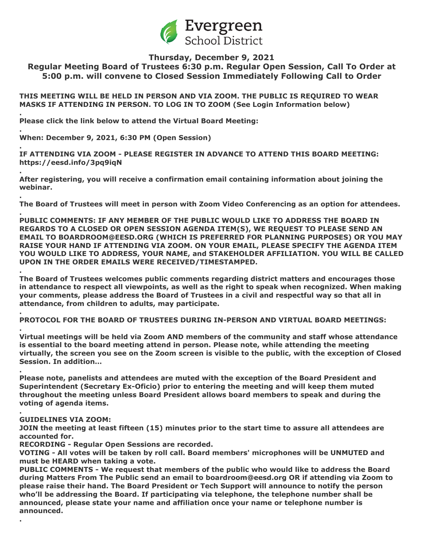

# **Thursday, December 9, 2021**

**Regular Meeting Board of Trustees 6:30 p.m. Regular Open Session, Call To Order at 5:00 p.m. will convene to Closed Session Immediately Following Call to Order**

**THIS MEETING WILL BE HELD IN PERSON AND VIA ZOOM. THE PUBLIC IS REQUIRED TO WEAR MASKS IF ATTENDING IN PERSON. TO LOG IN TO ZOOM (See Login Information below)**

**Please click the link below to attend the Virtual Board Meeting:**

**When: December 9, 2021, 6:30 PM (Open Session)**

**.**

**.**

**.**

**.**

**.**

**.**

**.**

**.**

**.**

**.**

**. IF ATTENDING VIA ZOOM - PLEASE REGISTER IN ADVANCE TO ATTEND THIS BOARD MEETING: https://eesd.info/3pq9iqN**

**After registering, you will receive a confirmation email containing information about joining the webinar.**

**The Board of Trustees will meet in person with Zoom Video Conferencing as an option for attendees.**

**PUBLIC COMMENTS: IF ANY MEMBER OF THE PUBLIC WOULD LIKE TO ADDRESS THE BOARD IN REGARDS TO A CLOSED OR OPEN SESSION AGENDA ITEM(S), WE REQUEST TO PLEASE SEND AN EMAIL TO BOARDROOM@EESD.ORG (WHICH IS PREFERRED FOR PLANNING PURPOSES) OR YOU MAY RAISE YOUR HAND IF ATTENDING VIA ZOOM. ON YOUR EMAIL, PLEASE SPECIFY THE AGENDA ITEM YOU WOULD LIKE TO ADDRESS, YOUR NAME, and STAKEHOLDER AFFILIATION. YOU WILL BE CALLED UPON IN THE ORDER EMAILS WERE RECEIVED/TIMESTAMPED.**

**The Board of Trustees welcomes public comments regarding district matters and encourages those in attendance to respect all viewpoints, as well as the right to speak when recognized. When making your comments, please address the Board of Trustees in a civil and respectful way so that all in attendance, from children to adults, may participate.**

**PROTOCOL FOR THE BOARD OF TRUSTEES DURING IN-PERSON AND VIRTUAL BOARD MEETINGS:**

**. Virtual meetings will be held via Zoom AND members of the community and staff whose attendance is essential to the board meeting attend in person. Please note, while attending the meeting virtually, the screen you see on the Zoom screen is visible to the public, with the exception of Closed Session. In addition…**

**Please note, panelists and attendees are muted with the exception of the Board President and Superintendent (Secretary Ex-Oficio) prior to entering the meeting and will keep them muted throughout the meeting unless Board President allows board members to speak and during the voting of agenda items.**

## **GUIDELINES VIA ZOOM:**

**JOIN the meeting at least fifteen (15) minutes prior to the start time to assure all attendees are accounted for.**

**RECORDING - Regular Open Sessions are recorded.**

**VOTING - All votes will be taken by roll call. Board members' microphones will be UNMUTED and must be HEARD when taking a vote.**

**PUBLIC COMMENTS - We request that members of the public who would like to address the Board during Matters From The Public send an email to boardroom@eesd.org OR if attending via Zoom to please raise their hand. The Board President or Tech Support will announce to notify the person who'll be addressing the Board. If participating via telephone, the telephone number shall be announced, please state your name and affiliation once your name or telephone number is announced.**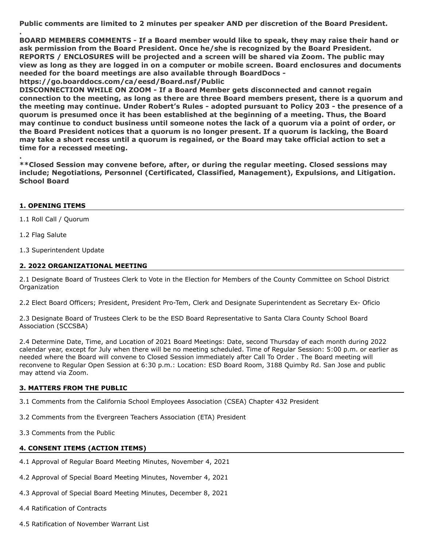**Public comments are limited to 2 minutes per speaker AND per discretion of the Board President.**

**BOARD MEMBERS COMMENTS - If a Board member would like to speak, they may raise their hand or ask permission from the Board President. Once he/she is recognized by the Board President. REPORTS / ENCLOSURES will be projected and a screen will be shared via Zoom. The public may view as long as they are logged in on a computer or mobile screen. Board enclosures and documents needed for the board meetings are also available through BoardDocs https://go.boarddocs.com/ca/eesd/Board.nsf/Public**

**DISCONNECTION WHILE ON ZOOM - If a Board Member gets disconnected and cannot regain connection to the meeting, as long as there are three Board members present, there is a quorum and the meeting may continue. Under Robert's Rules - adopted pursuant to Policy 203 - the presence of a quorum is presumed once it has been established at the beginning of a meeting. Thus, the Board may continue to conduct business until someone notes the lack of a quorum via a point of order, or the Board President notices that a quorum is no longer present. If a quorum is lacking, the Board may take a short recess until a quorum is regained, or the Board may take official action to set a time for a recessed meeting.**

**\*\*Closed Session may convene before, after, or during the regular meeting. Closed sessions may include; Negotiations, Personnel (Certificated, Classified, Management), Expulsions, and Litigation. School Board**

## **1. OPENING ITEMS**

1.1 Roll Call / Quorum

1.2 Flag Salute

**.**

**.**

1.3 Superintendent Update

## **2. 2022 ORGANIZATIONAL MEETING**

2.1 Designate Board of Trustees Clerk to Vote in the Election for Members of the County Committee on School District Organization

2.2 Elect Board Officers; President, President Pro-Tem, Clerk and Designate Superintendent as Secretary Ex- Oficio

2.3 Designate Board of Trustees Clerk to be the ESD Board Representative to Santa Clara County School Board Association (SCCSBA)

2.4 Determine Date, Time, and Location of 2021 Board Meetings: Date, second Thursday of each month during 2022 calendar year, except for July when there will be no meeting scheduled. Time of Regular Session: 5:00 p.m. or earlier as needed where the Board will convene to Closed Session immediately after Call To Order . The Board meeting will reconvene to Regular Open Session at 6:30 p.m.: Location: ESD Board Room, 3188 Quimby Rd. San Jose and public may attend via Zoom.

## **3. MATTERS FROM THE PUBLIC**

3.1 Comments from the California School Employees Association (CSEA) Chapter 432 President

3.2 Comments from the Evergreen Teachers Association (ETA) President

3.3 Comments from the Public

## **4. CONSENT ITEMS (ACTION ITEMS)**

4.1 Approval of Regular Board Meeting Minutes, November 4, 2021

4.2 Approval of Special Board Meeting Minutes, November 4, 2021

4.3 Approval of Special Board Meeting Minutes, December 8, 2021

4.4 Ratification of Contracts

4.5 Ratification of November Warrant List